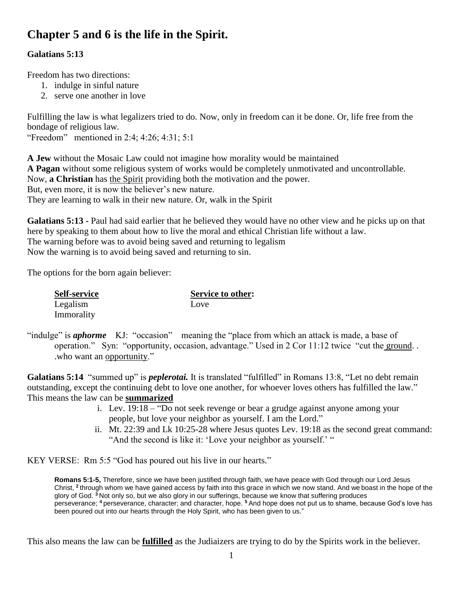# **Chapter 5 and 6 is the life in the Spirit.**

### **Galatians 5:13**

Freedom has two directions:

- 1. indulge in sinful nature
- 2. serve one another in love

Fulfilling the law is what legalizers tried to do. Now, only in freedom can it be done. Or, life free from the bondage of religious law.

"Freedom" mentioned in 2:4; 4:26; 4:31; 5:1

**A Jew** without the Mosaic Law could not imagine how morality would be maintained **A Pagan** without some religious system of works would be completely unmotivated and uncontrollable. Now, **a Christian** has the Spirit providing both the motivation and the power. But, even more, it is now the believer's new nature. They are learning to walk in their new nature. Or, walk in the Spirit

**Galatians 5:13 -** Paul had said earlier that he believed they would have no other view and he picks up on that here by speaking to them about how to live the moral and ethical Christian life without a law. The warning before was to avoid being saved and returning to legalism Now the warning is to avoid being saved and returning to sin.

The options for the born again believer:

Legalism Love Immorality

**Self-service Service to other:**

"indulge" is *aphorme* KJ: "occasion" meaning the "place from which an attack is made, a base of operation." Syn: "opportunity, occasion, advantage." Used in 2 Cor 11:12 twice "cut the ground. . .who want an opportunity."

**Galatians 5:14** "summed up" is *peplerotai.* It is translated "fulfilled" in Romans 13:8, "Let no debt remain outstanding, except the continuing debt to love one another, for whoever loves others has fulfilled the law." This means the law can be **summarized**

- i. Lev. 19:18 "Do not seek revenge or bear a grudge against anyone among your people, but love your neighbor as yourself. I am the Lord."
- ii. Mt. 22:39 and Lk 10:25-28 where Jesus quotes Lev. 19:18 as the second great command: "And the second is like it: 'Love your neighbor as yourself.' "

KEY VERSE: Rm 5:5 "God has poured out his live in our hearts."

**Romans 5:1-5,** Therefore, since we have been justified through faith, we have peace with God through our Lord Jesus Christ, <sup>2</sup> through whom we have gained access by faith into this grace in which we now stand. And we boast in the hope of the glory of God. **<sup>3</sup>** Not only so, but we also glory in our sufferings, because we know that suffering produces perseverance; **<sup>4</sup>** perseverance, character; and character, hope. **<sup>5</sup>** And hope does not put us to shame, because God's love has been poured out into our hearts through the Holy Spirit, who has been given to us."

This also means the law can be **fulfilled** as the Judiaizers are trying to do by the Spirits work in the believer.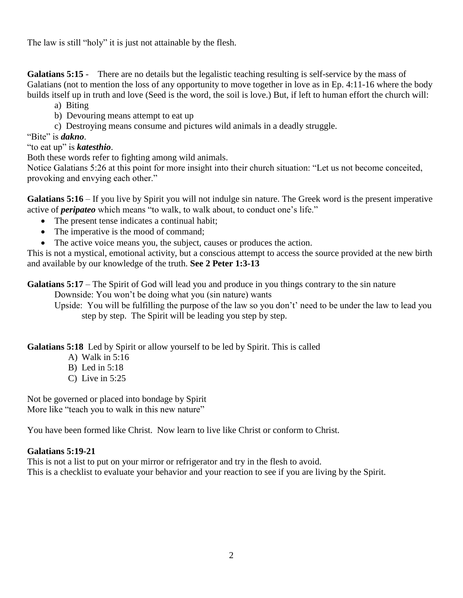The law is still "holy" it is just not attainable by the flesh.

**Galatians 5:15** - There are no details but the legalistic teaching resulting is self-service by the mass of Galatians (not to mention the loss of any opportunity to move together in love as in Ep. 4:11-16 where the body builds itself up in truth and love (Seed is the word, the soil is love.) But, if left to human effort the church will:

a) Biting

- b) Devouring means attempt to eat up
- c) Destroying means consume and pictures wild animals in a deadly struggle.

### "Bite" is *dakno*.

"to eat up" is *katesthio*.

Both these words refer to fighting among wild animals.

Notice Galatians 5:26 at this point for more insight into their church situation: "Let us not become conceited, provoking and envying each other."

**Galatians 5:16** – If you live by Spirit you will not indulge sin nature. The Greek word is the present imperative active of *peripateo* which means "to walk, to walk about, to conduct one's life."

- The present tense indicates a continual habit;
- The imperative is the mood of command;
- The active voice means you, the subject, causes or produces the action.

This is not a mystical, emotional activity, but a conscious attempt to access the source provided at the new birth and available by our knowledge of the truth. **See 2 Peter 1:3-13**

**Galatians 5:17** – The Spirit of God will lead you and produce in you things contrary to the sin nature

Downside: You won't be doing what you (sin nature) wants

Upside: You will be fulfilling the purpose of the law so you don't' need to be under the law to lead you step by step. The Spirit will be leading you step by step.

**Galatians 5:18** Led by Spirit or allow yourself to be led by Spirit. This is called

- A) Walk in 5:16
- B) Led in 5:18
- C) Live in 5:25

Not be governed or placed into bondage by Spirit More like "teach you to walk in this new nature"

You have been formed like Christ. Now learn to live like Christ or conform to Christ.

### **Galatians 5:19-21**

This is not a list to put on your mirror or refrigerator and try in the flesh to avoid. This is a checklist to evaluate your behavior and your reaction to see if you are living by the Spirit.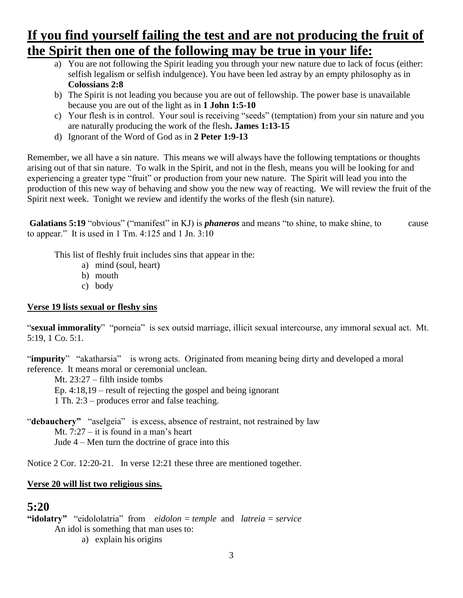# **If you find yourself failing the test and are not producing the fruit of the Spirit then one of the following may be true in your life:**

- a) You are not following the Spirit leading you through your new nature due to lack of focus (either: selfish legalism or selfish indulgence). You have been led astray by an empty philosophy as in **Colossians 2:8**
- b) The Spirit is not leading you because you are out of fellowship. The power base is unavailable because you are out of the light as in **1 John 1:5-10**
- c) Your flesh is in control. Your soul is receiving "seeds" (temptation) from your sin nature and you are naturally producing the work of the flesh**. James 1:13-15**
- d) Ignorant of the Word of God as in **2 Peter 1:9-13**

Remember, we all have a sin nature. This means we will always have the following temptations or thoughts arising out of that sin nature. To walk in the Spirit, and not in the flesh, means you will be looking for and experiencing a greater type "fruit" or production from your new nature. The Spirit will lead you into the production of this new way of behaving and show you the new way of reacting. We will review the fruit of the Spirit next week. Tonight we review and identify the works of the flesh (sin nature).

**Galatians 5:19** "obvious" ("manifest" in KJ) is *phaneros* and means "to shine, to make shine, to cause to appear." It is used in  $1 \text{ Tm}$ . 4:125 and  $1 \text{ Jn}$ . 3:10

This list of fleshly fruit includes sins that appear in the:

- a) mind (soul, heart)
- b) mouth
- c) body

### **Verse 19 lists sexual or fleshy sins**

"**sexual immorality**" "porneia" is sex outsid marriage, illicit sexual intercourse, any immoral sexual act. Mt. 5:19, 1 Co. 5:1.

"impurity" "akatharsia" is wrong acts. Originated from meaning being dirty and developed a moral reference. It means moral or ceremonial unclean.

Mt. 23:27 – filth inside tombs

Ep. 4:18,19 – result of rejecting the gospel and being ignorant

1 Th. 2:3 – produces error and false teaching.

"**debauchery**" "aselgeia" is excess, absence of restraint, not restrained by law Mt. 7:27 – it is found in a man's heart Jude 4 – Men turn the doctrine of grace into this

Notice 2 Cor. 12:20-21. In verse 12:21 these three are mentioned together.

### **Verse 20 will list two religious sins.**

# **5:20**

```
"idolatry" "eidololatria" from eidolon = temple and latreia = service
An idol is something that man uses to:
```
a) explain his origins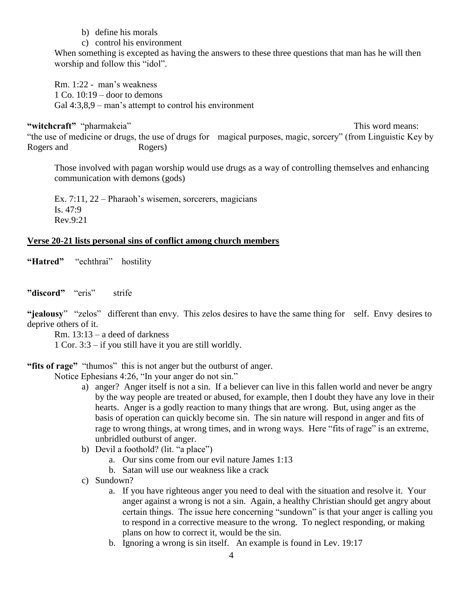- b) define his morals
- c) control his environment

When something is excepted as having the answers to these three questions that man has he will then worship and follow this "idol".

Rm. 1:22 - man's weakness 1 Co.  $10:19$  – door to demons Gal 4:3,8,9 – man's attempt to control his environment

"witchcraft" "pharmakeia" This word means: "the use of medicine or drugs, the use of drugs for magical purposes, magic, sorcery" (from Linguistic Key by Rogers and Rogers)

Those involved with pagan worship would use drugs as a way of controlling themselves and enhancing communication with demons (gods)

Ex. 7:11, 22 – Pharaoh's wisemen, sorcerers, magicians Is.  $47:9$ Rev.9:21

#### **Verse 20-21 lists personal sins of conflict among church members**

"Hatred" "echthrai" hostility

**"discord"** "eris" strife

"**jealousy**" "zelos" different than envy. This zelos desires to have the same thing for self. Envy desires to deprive others of it.

Rm. 13:13 – a deed of darkness

1 Cor. 3:3 – if you still have it you are still worldly.

#### **"fits of rage"** "thumos" this is not anger but the outburst of anger.

Notice Ephesians 4:26, "In your anger do not sin."

- a) anger? Anger itself is not a sin. If a believer can live in this fallen world and never be angry by the way people are treated or abused, for example, then I doubt they have any love in their hearts. Anger is a godly reaction to many things that are wrong. But, using anger as the basis of operation can quickly become sin. The sin nature will respond in anger and fits of rage to wrong things, at wrong times, and in wrong ways. Here "fits of rage" is an extreme, unbridled outburst of anger.
- b) Devil a foothold? (lit. "a place")
	- a. Our sins come from our evil nature James 1:13
	- b. Satan will use our weakness like a crack
- c) Sundown?
	- a. If you have righteous anger you need to deal with the situation and resolve it. Your anger against a wrong is not a sin. Again, a healthy Christian should get angry about certain things. The issue here concerning "sundown" is that your anger is calling you to respond in a corrective measure to the wrong. To neglect responding, or making plans on how to correct it, would be the sin.
	- b. Ignoring a wrong is sin itself. An example is found in Lev. 19:17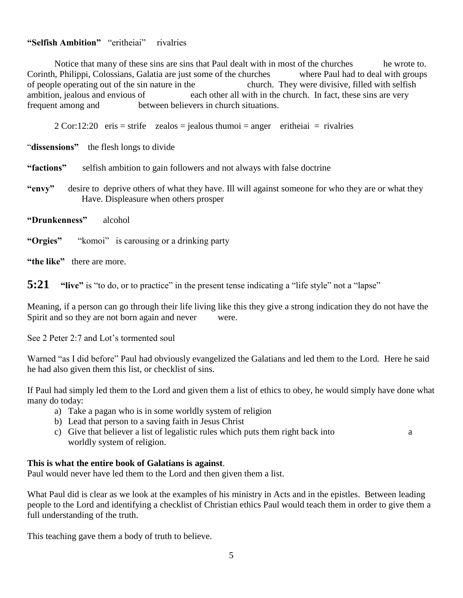### **"Selfish Ambition"** "eritheiai" rivalries

Notice that many of these sins are sins that Paul dealt with in most of the churches he wrote to. Corinth, Philippi, Colossians, Galatia are just some of the churches where Paul had to deal with groups of people operating out of the sin nature in the church. They were divisive, filled with selfish ambition, jealous and envious of each other all with in the church. In fact, these sins are very frequent among and between believers in church situations.

 $2$  Cor:12:20 eris = strife zealos = jealous thumoi = anger eritheiai = rivalries

"**dissensions"** the flesh longs to divide

**"factions"** selfish ambition to gain followers and not always with false doctrine

- **"envy"** desire to deprive others of what they have. Ill will against someone for who they are or what they Have. Displeasure when others prosper
- **"Drunkenness"** alcohol

**"Orgies"** "komoi" is carousing or a drinking party

**"the like"** there are more.

**5:21 "live"** is "to do, or to practice" in the present tense indicating a "life style" not a "lapse"

Meaning, if a person can go through their life living like this they give a strong indication they do not have the Spirit and so they are not born again and never were.

See 2 Peter 2:7 and Lot's tormented soul

Warned "as I did before" Paul had obviously evangelized the Galatians and led them to the Lord. Here he said he had also given them this list, or checklist of sins.

If Paul had simply led them to the Lord and given them a list of ethics to obey, he would simply have done what many do today:

- a) Take a pagan who is in some worldly system of religion
- b) Lead that person to a saving faith in Jesus Christ
- c) Give that believer a list of legalistic rules which puts them right back into a worldly system of religion.

#### **This is what the entire book of Galatians is against**.

Paul would never have led them to the Lord and then given them a list.

What Paul did is clear as we look at the examples of his ministry in Acts and in the epistles. Between leading people to the Lord and identifying a checklist of Christian ethics Paul would teach them in order to give them a full understanding of the truth.

This teaching gave them a body of truth to believe.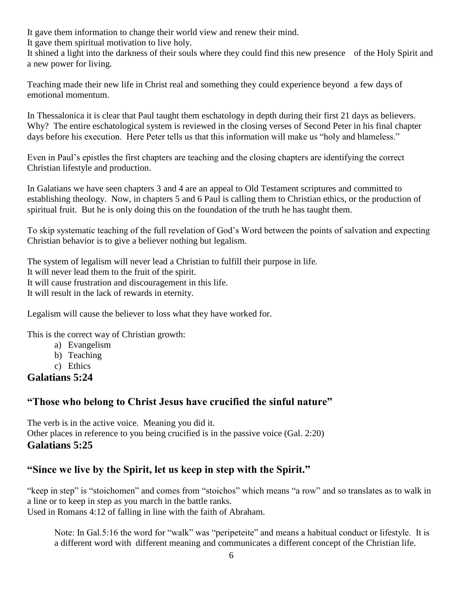It gave them information to change their world view and renew their mind.

It gave them spiritual motivation to live holy.

It shined a light into the darkness of their souls where they could find this new presence of the Holy Spirit and a new power for living.

Teaching made their new life in Christ real and something they could experience beyond a few days of emotional momentum.

In Thessalonica it is clear that Paul taught them eschatology in depth during their first 21 days as believers. Why? The entire eschatological system is reviewed in the closing verses of Second Peter in his final chapter days before his execution. Here Peter tells us that this information will make us "holy and blameless."

Even in Paul's epistles the first chapters are teaching and the closing chapters are identifying the correct Christian lifestyle and production.

In Galatians we have seen chapters 3 and 4 are an appeal to Old Testament scriptures and committed to establishing theology. Now, in chapters 5 and 6 Paul is calling them to Christian ethics, or the production of spiritual fruit. But he is only doing this on the foundation of the truth he has taught them.

To skip systematic teaching of the full revelation of God's Word between the points of salvation and expecting Christian behavior is to give a believer nothing but legalism.

The system of legalism will never lead a Christian to fulfill their purpose in life.

It will never lead them to the fruit of the spirit.

It will cause frustration and discouragement in this life.

It will result in the lack of rewards in eternity.

Legalism will cause the believer to loss what they have worked for.

This is the correct way of Christian growth:

- a) Evangelism
- b) Teaching
- c) Ethics

# **Galatians 5:24**

# **"Those who belong to Christ Jesus have crucified the sinful nature"**

The verb is in the active voice. Meaning you did it. Other places in reference to you being crucified is in the passive voice (Gal. 2:20) **Galatians 5:25**

# **"Since we live by the Spirit, let us keep in step with the Spirit."**

"keep in step" is "stoichomen" and comes from "stoichos" which means "a row" and so translates as to walk in a line or to keep in step as you march in the battle ranks.

Used in Romans 4:12 of falling in line with the faith of Abraham.

Note: In Gal.5:16 the word for "walk" was "peripeteite" and means a habitual conduct or lifestyle. It is a different word with different meaning and communicates a different concept of the Christian life.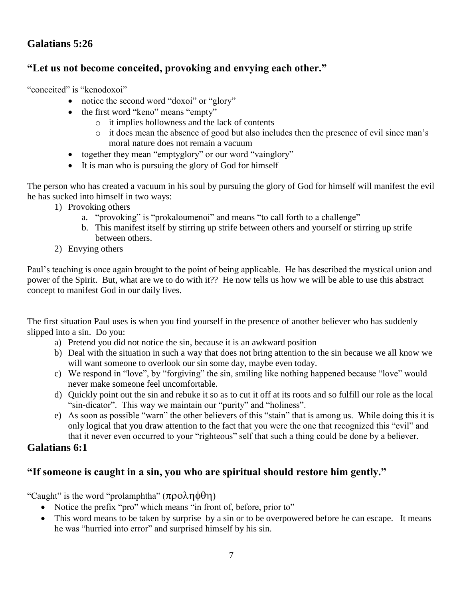## **Galatians 5:26**

### **"Let us not become conceited, provoking and envying each other."**

"conceited" is "kenodoxoi"

- notice the second word "doxoi" or "glory"
- the first word "keno" means "empty"
	- o it implies hollowness and the lack of contents
	- o it does mean the absence of good but also includes then the presence of evil since man's moral nature does not remain a vacuum
- together they mean "emptyglory" or our word "vainglory"
- It is man who is pursuing the glory of God for himself

The person who has created a vacuum in his soul by pursuing the glory of God for himself will manifest the evil he has sucked into himself in two ways:

- 1) Provoking others
	- a. "provoking" is "prokaloumenoi" and means "to call forth to a challenge"
	- b. This manifest itself by stirring up strife between others and yourself or stirring up strife between others.
- 2) Envying others

Paul's teaching is once again brought to the point of being applicable. He has described the mystical union and power of the Spirit. But, what are we to do with it?? He now tells us how we will be able to use this abstract concept to manifest God in our daily lives.

The first situation Paul uses is when you find yourself in the presence of another believer who has suddenly slipped into a sin. Do you:

- a) Pretend you did not notice the sin, because it is an awkward position
- b) Deal with the situation in such a way that does not bring attention to the sin because we all know we will want someone to overlook our sin some day, maybe even today.
- c) We respond in "love", by "forgiving" the sin, smiling like nothing happened because "love" would never make someone feel uncomfortable.
- d) Quickly point out the sin and rebuke it so as to cut it off at its roots and so fulfill our role as the local "sin-dicator". This way we maintain our "purity" and "holiness".
- e) As soon as possible "warn" the other believers of this "stain" that is among us. While doing this it is only logical that you draw attention to the fact that you were the one that recognized this "evil" and that it never even occurred to your "righteous" self that such a thing could be done by a believer.

### **Galatians 6:1**

### **"If someone is caught in a sin, you who are spiritual should restore him gently."**

"Caught" is the word "prolamphtha"  $(\pi \rho o \lambda \eta \phi \theta \eta)$ 

- Notice the prefix "pro" which means "in front of, before, prior to"
- This word means to be taken by surprise by a sin or to be overpowered before he can escape. It means he was "hurried into error" and surprised himself by his sin.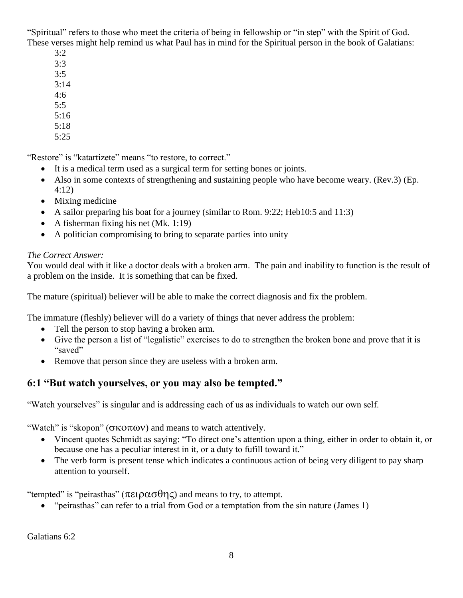"Spiritual" refers to those who meet the criteria of being in fellowship or "in step" with the Spirit of God. These verses might help remind us what Paul has in mind for the Spiritual person in the book of Galatians:

- 3:2
- 3:3
- 3:5
- $3:14$
- 4:6
- 5:5
- 5:16
- 5:18
- 5:25

"Restore" is "katartizete" means "to restore, to correct."

- It is a medical term used as a surgical term for setting bones or joints.
- Also in some contexts of strengthening and sustaining people who have become weary. (Rev.3) (Ep. 4:12)
- Mixing medicine
- A sailor preparing his boat for a journey (similar to Rom. 9:22; Heb10:5 and 11:3)
- A fisherman fixing his net (Mk. 1:19)
- A politician compromising to bring to separate parties into unity

### *The Correct Answer:*

You would deal with it like a doctor deals with a broken arm. The pain and inability to function is the result of a problem on the inside. It is something that can be fixed.

The mature (spiritual) believer will be able to make the correct diagnosis and fix the problem.

The immature (fleshly) believer will do a variety of things that never address the problem:

- Tell the person to stop having a broken arm.
- Give the person a list of "legalistic" exercises to do to strengthen the broken bone and prove that it is "saved"
- Remove that person since they are useless with a broken arm.

# **6:1 "But watch yourselves, or you may also be tempted."**

"Watch yourselves" is singular and is addressing each of us as individuals to watch our own self.

"Watch" is "skopon" ( $\sigma$ KO $\pi$ ων) and means to watch attentively.

- Vincent quotes Schmidt as saying: "To direct one's attention upon a thing, either in order to obtain it, or because one has a peculiar interest in it, or a duty to fufill toward it."
- The verb form is present tense which indicates a continuous action of being very diligent to pay sharp attention to yourself.

"tempted" is "peirasthas" ( $\pi \epsilon_1 \rho \alpha \sigma \theta \eta \zeta$ ) and means to try, to attempt.

"peirasthas" can refer to a trial from God or a temptation from the sin nature (James 1)

Galatians 6:2